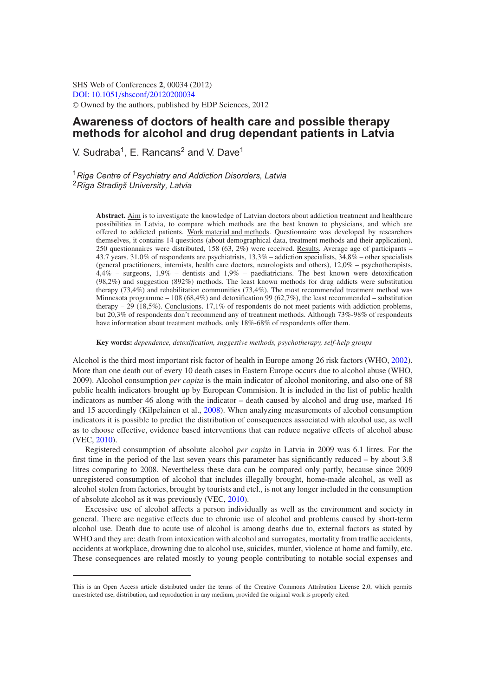SHS Web of Conferences **2**, 00034 (2012) [DOI: 10.1051](http://dx.doi.org/10.1051/shsconf/20120200034)/shsconf/20120200034 <sup>C</sup> Owned by the authors, published by EDP Sciences, 2012

# **Awareness of doctors of health care and possible therapy methods for alcohol and drug dependant patients in Latvia**

V. Sudraba<sup>1</sup>, E. Rancans<sup>2</sup> and V. Dave<sup>1</sup>

<sup>1</sup>*Riga Centre of Psychiatry and Addiction Disorders, Latvia* <sup>2</sup>*R¯ıga Stradin¸ š University, Latvia*

> **Abstract.** Aim is to investigate the knowledge of Latvian doctors about addiction treatment and healthcare possibilities in Latvia, to compare which methods are the best known to physicians, and which are offered to addicted patients. Work material and methods. Questionnaire was developed by researchers themselves, it contains 14 questions (about demographical data, treatment methods and their application). 250 questionnaires were distributed, 158 (63, 2%) were received. Results. Average age of participants – 43.7 years. 31,0% of respondents are psychiatrists, 13,3% – addiction specialists, 34,8% – other specialists (general practitioners, internists, health care doctors, neurologists and others), 12,0% – psychotherapists, 4,4% – surgeons, 1,9% – dentists and 1,9% – paediatricians. The best known were detoxification (98,2%) and suggestion (892%) methods. The least known methods for drug addicts were substitution therapy (73,4%) and rehabilitation communities (73,4%). The most recommended treatment method was Minnesota programme – 108 (68,4%) and detoxification 99 (62,7%), the least recommended – substitution therapy – 29 (18,5%). Conclusions. 17,1% of respondents do not meet patients with addiction problems, but 20,3% of respondents don't recommend any of treatment methods. Although 73%-98% of respondents have information about treatment methods, only 18%-68% of respondents offer them.

**Key words:** *dependence, detoxification, suggestive methods, psychotherapy, self-help groups*

Alcohol is the third most important risk factor of health in Europe among 26 risk factors (WHO, [2002\)](#page-4-0). More than one death out of every 10 death cases in Eastern Europe occurs due to alcohol abuse (WHO, 2009). Alcohol consumption *per capita* is the main indicator of alcohol monitoring, and also one of 88 public health indicators brought up by European Commision. It is included in the list of public health indicators as number 46 along with the indicator – death caused by alcohol and drug use, marked 16 and 15 accordingly (Kilpelainen et al., [2008\)](#page-4-1). When analyzing measurements of alcohol consumption indicators it is possible to predict the distribution of consequences associated with alcohol use, as well as to choose effective, evidence based interventions that can reduce negative effects of alcohol abuse (VEC, [2010\)](#page-4-2).

Registered consumption of absolute alcohol *per capita* in Latvia in 2009 was 6.1 litres. For the first time in the period of the last seven years this parameter has significantly reduced – by about 3.8 litres comparing to 2008. Nevertheless these data can be compared only partly, because since 2009 unregistered consumption of alcohol that includes illegally brought, home-made alcohol, as well as alcohol stolen from factories, brought by tourists and etcl., is not any longer included in the consumption of absolute alcohol as it was previously (VEC, [2010\)](#page-4-2).

Excessive use of alcohol affects a person individually as well as the environment and society in general. There are negative effects due to chronic use of alcohol and problems caused by short-term alcohol use. Death due to acute use of alcohol is among deaths due to, external factors as stated by WHO and they are: death from intoxication with alcohol and surrogates, mortality from traffic accidents, accidents at workplace, drowning due to alcohol use, suicides, murder, violence at home and family, etc. These consequences are related mostly to young people contributing to notable social expenses and

This is an Open Access article distributed under the terms of the Creative Commons Attribution License 2.0, which permits unrestricted use, distribution, and reproduction in any medium, provided the original work is properly cited.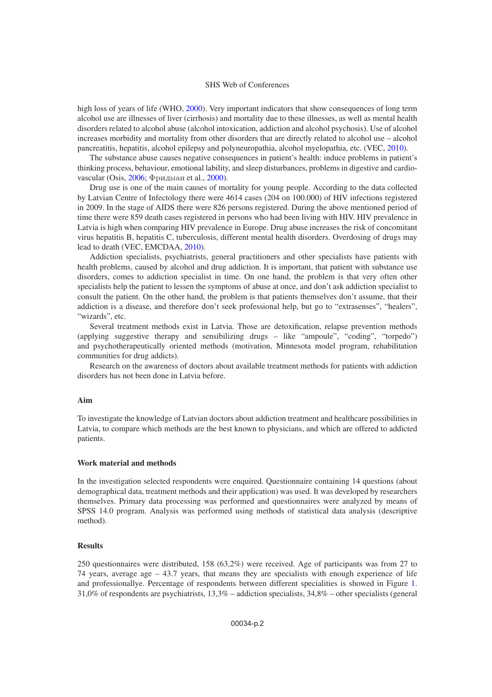#### SHS Web of Conferences

high loss of years of life (WHO, [2000\)](#page-4-1). Very important indicators that show consequences of long term alcohol use are illnesses of liver (cirrhosis) and mortality due to these illnesses, as well as mental health disorders related to alcohol abuse (alcohol intoxication, addiction and alcohol psychosis). Use of alcohol increases morbidity and mortality from other disorders that are directly related to alcohol use – alcohol pancreatitis, hepatitis, alcohol epilepsy and polyneuropathia, alcohol myelopathia, etc. (VEC, [2010\)](#page-4-2).

The substance abuse causes negative consequences in patient's health: induce problems in patient's thinking process, behaviour, emotional lability, and sleep disturbances, problems in digestive and cardiovascular (Osis,  $2006$ ; Фридман et al.,  $2000$ ).

Drug use is one of the main causes of mortality for young people. According to the data collected by Latvian Centre of Infectology there were 4614 cases (204 on 100.000) of HIV infections registered in 2009. In the stage of AIDS there were 826 persons registered. During the above mentioned period of time there were 859 death cases registered in persons who had been living with HIV. HIV prevalence in Latvia is high when comparing HIV prevalence in Europe. Drug abuse increases the risk of concomitant virus hepatitis B, hepatitis C, tuberculosis, different mental health disorders. Overdosing of drugs may lead to death (VEC, EMCDAA, [2010\)](#page-4-2).

Addiction specialists, psychiatrists, general practitioners and other specialists have patients with health problems, caused by alcohol and drug addiction. It is important, that patient with substance use disorders, comes to addiction specialist in time. On one hand, the problem is that very often other specialists help the patient to lessen the symptoms of abuse at once, and don't ask addiction specialist to consult the patient. On the other hand, the problem is that patients themselves don't assume, that their addiction is a disease, and therefore don't seek professional help, but go to "extrasenses", "healers", "wizards", etc.

Several treatment methods exist in Latvia. Those are detoxification, relapse prevention methods (applying suggestive therapy and sensibilizing drugs – like "ampoule", "coding", "torpedo") and psychotherapeutically oriented methods (motivation, Minnesota model program, rehabilitation communities for drug addicts).

Research on the awareness of doctors about available treatment methods for patients with addiction disorders has not been done in Latvia before.

#### **Aim**

To investigate the knowledge of Latvian doctors about addiction treatment and healthcare possibilities in Latvia, to compare which methods are the best known to physicians, and which are offered to addicted patients.

#### **Work material and methods**

In the investigation selected respondents were enquired. Questionnaire containing 14 questions (about demographical data, treatment methods and their application) was used. It was developed by researchers themselves. Primary data processing was performed and questionnaires were analyzed by means of SPSS 14.0 program. Analysis was performed using methods of statistical data analysis (descriptive method).

#### **Results**

250 questionnaires were distributed, 158 (63,2%) were received. Age of participants was from 27 to 74 years, average age – 43.7 years, that means they are specialists with enough experience of life and professionallye. Percentage of respondents between different specialities is showed in Figure [1.](#page-2-0) 31,0% of respondents are psychiatrists, 13,3% – addiction specialists, 34,8% – other specialists (general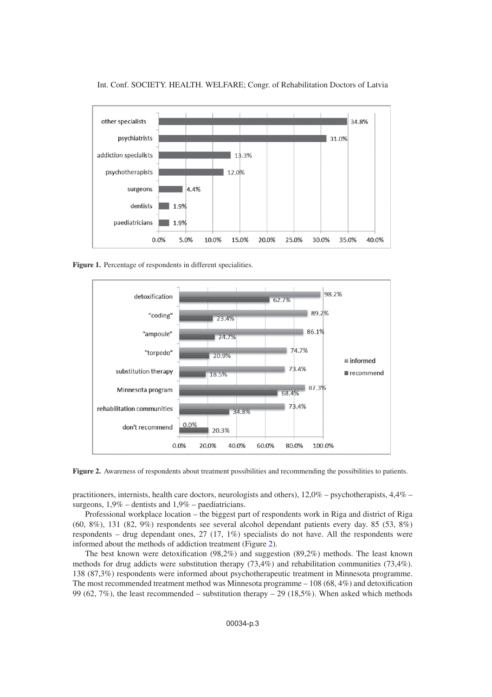

<span id="page-2-0"></span>

<span id="page-2-1"></span>**Figure 1.** Percentage of respondents in different specialities.



**Figure 2.** Awareness of respondents about treatment possibilities and recommending the possibilities to patients.

practitioners, internists, health care doctors, neurologists and others), 12,0% – psychotherapists, 4,4% – surgeons, 1,9% – dentists and 1,9% – paediatricians.

Professional workplace location – the biggest part of respondents work in Riga and district of Riga (60, 8%), 131 (82, 9%) respondents see several alcohol dependant patients every day. 85 (53, 8%) respondents – drug dependant ones, 27 (17, 1%) specialists do not have. All the respondents were informed about the methods of addiction treatment (Figure [2\)](#page-2-1).

The best known were detoxification (98,2%) and suggestion (89,2%) methods. The least known methods for drug addicts were substitution therapy (73,4%) and rehabilitation communities (73,4%). 138 (87,3%) respondents were informed about psychotherapeutic treatment in Minnesota programme. The most recommended treatment method was Minnesota programme – 108 (68, 4%) and detoxification 99 (62, 7%), the least recommended – substitution therapy – 29 (18,5%). When asked which methods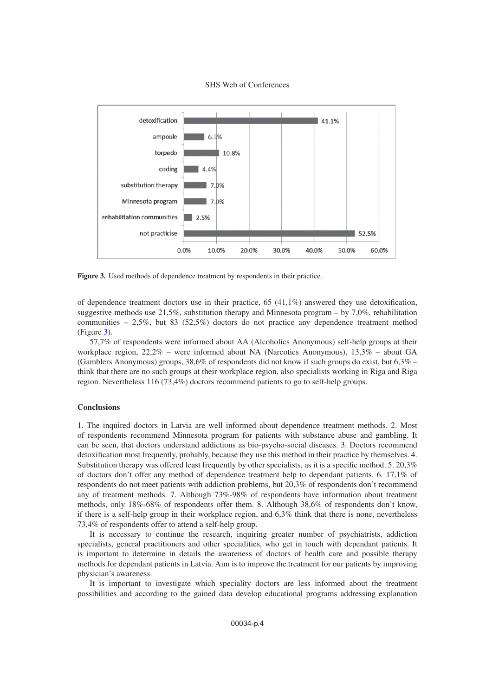

<span id="page-3-0"></span>

**Figure 3.** Used methods of dependence treatment by respondents in their practice.

of dependence treatment doctors use in their practice,  $65 \ (41,1\%)$  answered they use detoxification, suggestive methods use 21,5%, substitution therapy and Minnesota program – by 7,0%, rehabilitation communities – 2,5%, but 83 (52,5%) doctors do not practice any dependence treatment method (Figure [3\)](#page-3-0).

57,7% of respondents were informed about AA (Alcoholics Anonymous) self-help groups at their workplace region,  $22.2\%$  – were informed about NA (Narcotics Anonymous),  $13.3\%$  – about GA (Gamblers Anonymous) groups, 38,6% of respondents did not know if such groups do exist, but 6,3% – think that there are no such groups at their workplace region, also specialists working in Riga and Riga region. Nevertheless 116 (73,4%) doctors recommend patients to go to self-help groups.

### **Conclusions**

1. The inquired doctors in Latvia are well informed about dependence treatment methods. 2. Most of respondents recommend Minnesota program for patients with substance abuse and gambling. It can be seen, that doctors understand addictions as bio-psycho-social diseases. 3. Doctors recommend detoxification most frequently, probably, because they use this method in their practice by themselves. 4. Substitution therapy was offered least frequently by other specialists, as it is a specific method. 5. 20,3% of doctors don't offer any method of dependence treatment help to dependant patients. 6. 17,1% of respondents do not meet patients with addiction problems, but 20,3% of respondents don't recommend any of treatment methods. 7. Although 73%-98% of respondents have information about treatment methods, only 18%-68% of respondents offer them. 8. Although 38,6% of respondents don't know, if there is a self-help group in their workplace region, and 6,3% think that there is none, nevertheless 73,4% of respondents offer to attend a self-help group.

It is necessary to continue the research, inquiring greater number of psychiatrists, addiction specialists, general practitioners and other specialities, who get in touch with dependant patients. It is important to determine in details the awareness of doctors of health care and possible therapy methods for dependant patients in Latvia. Aim is to improve the treatment for our patients by improving physician's awareness.

It is important to investigate which speciality doctors are less informed about the treatment possibilities and according to the gained data develop educational programs addressing explanation